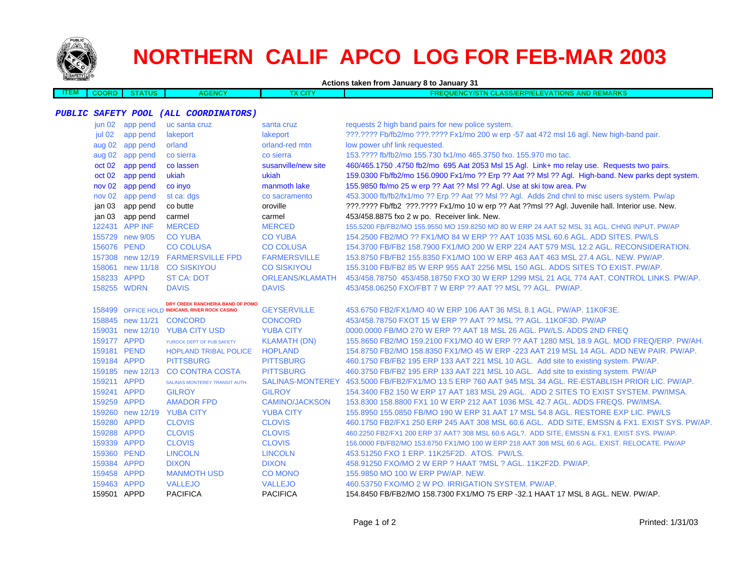

 $\Box$ 

# **NORTHERN CALIF APCO LOG FOR FEB-MAR 2003**

**Actions taken from January 8 to January 31**

| 1 E.M | - - - -<br>$\mathbf{r}$ | <b>TUS</b> | ENCY | х сіт | <b>REMARKS</b><br><b>AND</b><br><b>TIONS</b><br>OUE<br>_ASS/ERP/ELEVA1<br><b>ALC VIE</b><br>$\sim$<br>FRF<br><b>MCY/STN</b><br><b>STAR</b> |
|-------|-------------------------|------------|------|-------|--------------------------------------------------------------------------------------------------------------------------------------------|
|       |                         |            |      |       |                                                                                                                                            |

#### **PUBLIC SAFETY POOL (ALL COORDINATORS)**

|             | jun 02 app pend  | uc santa cruz                                  | santa cruz             | requests 2 high band pairs for new police system.                                                 |
|-------------|------------------|------------------------------------------------|------------------------|---------------------------------------------------------------------------------------------------|
| jul 02      | app pend         | lakeport                                       | lakeport               | ???.???? Fb/fb2/mo ???.???? Fx1/mo 200 w erp -57 aat 472 msl 16 agl. New high-band pair.          |
|             | aug 02 app pend  | orland                                         | orland-red mtn         | low power uhf link requested.                                                                     |
|             | aug 02 app pend  | co sierra                                      | co sierra              | 153.???? fb/fb2/mo 155.730 fx1/mo 465.3750 fxo. 155.970 mo tac.                                   |
| oct 02      | app pend         | co lassen                                      | susanville/new site    | 460/465.1750.4750 fb2/mo 695 Aat 2053 Msl 15 Agl. Link+ mo relay use. Requests two pairs.         |
| oct 02      | app pend         | ukiah                                          | ukiah                  | 159.0300 Fb/fb2/mo 156.0900 Fx1/mo ?? Erp ?? Aat ?? Msl ?? Agl. High-band. New parks dept system. |
|             | nov 02 app pend  | co inyo                                        | manmoth lake           | 155.9850 fb/mo 25 w erp ?? Aat ?? Msl ?? Agl. Use at ski tow area. Pw                             |
|             | nov 02 app pend  | st ca: dgs                                     | co sacramento          | 453.3000 fb/fb2/fx1/mo ?? Erp ?? Aat ?? Msl ?? Agl. Adds 2nd chnl to misc users system. Pw/ap     |
|             | jan 03 app pend  | co butte                                       | oroville               | ???.???? Fb/fb2 ???.???? Fx1/mo 10 w erp ?? Aat ??msl ?? Agl. Juvenile hall. Interior use. New.   |
|             | jan 03 app pend  | carmel                                         | carmel                 | 453/458.8875 fxo 2 w po. Receiver link. New.                                                      |
|             | 122431 APP INF   | <b>MERCED</b>                                  | <b>MERCED</b>          | 155.5200 FB/FB2/MO 155.9550 MO 159.8250 MO 80 W ERP 24 AAT 52 MSL 31 AGL. CHNG INPUT. PW/AP       |
|             | 155729 new 9/05  | <b>CO YUBA</b>                                 | <b>CO YUBA</b>         | 154,2500 FB2/MO ?? FX1/MO 84 W ERP ?? AAT 1035 MSL 60.6 AGL, ADD SITES, PW/LS                     |
| 156076 PEND |                  | <b>CO COLUSA</b>                               | <b>CO COLUSA</b>       | 154,3700 FB/FB2 158,7900 FX1/MO 200 W ERP 224 AAT 579 MSL 12.2 AGL, RECONSIDERATION.              |
|             |                  | 157308 new 12/19 FARMERSVILLE FPD              | <b>FARMERSVILLE</b>    | 153.8750 FB/FB2 155.8350 FX1/MO 100 W ERP 463 AAT 463 MSL 27.4 AGL, NEW, PW/AP,                   |
|             |                  | 158061 new 11/18 CO SISKIYOU                   | <b>CO SISKIYOU</b>     | 155,3100 FB/FB2 85 W ERP 955 AAT 2256 MSL 150 AGL, ADDS SITES TO EXIST, PW/AP.                    |
| 158233 APPD |                  | <b>ST CA: DOT</b>                              | <b>ORLEANS/KLAMATH</b> | 453/458.78750 453/458.18750 FXO 30 W ERP 1299 MSL 21 AGL 774 AAT. CONTROL LINKS. PW/AP.           |
|             | 158255 WDRN      | <b>DAVIS</b>                                   | <b>DAVIS</b>           | 453/458.06250 FXO/FBT 7 W ERP ?? AAT ?? MSL ?? AGL. PW/AP.                                        |
|             |                  | DRY CREEK RANCHERIA BAND OF POMO               |                        |                                                                                                   |
|             |                  | 158499 OFFICE HOLD INDICANS, RIVER ROCK CASINO | <b>GEYSERVILLE</b>     | 453.6750 FB2/FX1/MO 40 W ERP 106 AAT 36 MSL 8.1 AGL, PW/AP, 11K0F3E.                              |
|             |                  | 158845 new 11/21 CONCORD                       | <b>CONCORD</b>         | 453/458.78750 FXOT 15 W ERP ?? AAT ?? MSL ?? AGL, 11K0F3D, PW/AP                                  |
|             |                  | 159031 new 12/10 YUBA CITY USD                 | <b>YUBA CITY</b>       | 0000,0000 FB/MO 270 W ERP ?? AAT 18 MSL 26 AGL, PW/LS, ADDS 2ND FREQ                              |
| 159177 APPD |                  | YUROCK DEPT OF PUB SAFETY                      | <b>KLAMATH (DN)</b>    | 155.8650 FB2/MO 159.2100 FX1/MO 40 W ERP ?? AAT 1280 MSL 18.9 AGL. MOD FREQ/ERP. PW/AH.           |
| 159181 PEND |                  | <b>HOPLAND TRIBAL POLICE</b>                   | <b>HOPLAND</b>         | 154.8750 FB2/MO 158.8350 FX1/MO 45 W ERP -223 AAT 219 MSL 14 AGL, ADD NEW PAIR, PW/AP,            |
| 159184 APPD |                  | <b>PITTSBURG</b>                               | <b>PITTSBURG</b>       | 460.1750 FB/FB2 195 ERP 133 AAT 221 MSL 10 AGL. Add site to existing system. PW/AP.               |
|             | 159185 new 12/13 | <b>CO CONTRA COSTA</b>                         | <b>PITTSBURG</b>       | 460.3750 FB/FB2 195 ERP 133 AAT 221 MSL 10 AGL. Add site to existing system. PW/AP                |
| 159211 APPD |                  | SALINAS MONTEREY TRANSIT AUTH.                 | SALINAS-MONTEREY       | 453,5000 FB/FB2/FX1/MO 13.5 ERP 760 AAT 945 MSL 34 AGL, RE-ESTABLISH PRIOR LIC, PW/AP.            |
| 159241 APPD |                  | <b>GILROY</b>                                  | <b>GILROY</b>          | 154,3400 FB2 150 W ERP 17 AAT 183 MSL 29 AGL. ADD 2 SITES TO EXIST SYSTEM, PW/IMSA.               |
| 159259 APPD |                  | <b>AMADOR FPD</b>                              | <b>CAMINO/JACKSON</b>  | 153,8300 158,8800 FX1 10 W ERP 212 AAT 1036 MSL 42.7 AGL, ADDS FREQS, PW/IMSA.                    |
|             |                  | 159260 new 12/19 YUBA CITY                     | <b>YUBA CITY</b>       | 155.8950 155.0850 FB/MO 190 W ERP 31 AAT 17 MSL 54.8 AGL. RESTORE EXP LIC. PW/LS                  |
| 159280 APPD |                  | <b>CLOVIS</b>                                  | <b>CLOVIS</b>          | 460.1750 FB2/FX1 250 ERP 245 AAT 308 MSL 60.6 AGL. ADD SITE, EMSSN & FX1. EXIST SYS. PW/AP.       |
| 159288 APPD |                  | <b>CLOVIS</b>                                  | <b>CLOVIS</b>          | 460.2250 FB2/FX1 200 ERP 37 AAT? 308 MSL 60.6 AGL?. ADD SITE, EMSSN & FX1. EXIST SYS. PW/AP.      |
| 159339 APPD |                  | <b>CLOVIS</b>                                  | <b>CLOVIS</b>          | 156.0000 FB/FB2/MO 153.8750 FX1/MO 100 W ERP 218 AAT 308 MSL 60.6 AGL. EXIST. RELOCATE. PW/AP     |
| 159360 PEND |                  | <b>LINCOLN</b>                                 | <b>LINCOLN</b>         | 453.51250 FXO 1 ERP. 11K25F2D. ATOS. PW/LS.                                                       |
| 159384 APPD |                  | <b>DIXON</b>                                   | <b>DIXON</b>           | 458.91250 FXO/MO 2 W ERP ? HAAT ?MSL ? AGL, 11K2F2D, PW/AP.                                       |
| 159458 APPD |                  | <b>MANMOTH USD</b>                             | CO MONO                | 155,9850 MO 100 W ERP PW/AP, NEW.                                                                 |
| 159463 APPD |                  | <b>VALLEJO</b>                                 | <b>VALLEJO</b>         | 460.53750 FXO/MO 2 W PO. IRRIGATION SYSTEM. PW/AP.                                                |
| 159501 APPD |                  | <b>PACIFICA</b>                                | <b>PACIFICA</b>        | 154.8450 FB/FB2/MO 158.7300 FX1/MO 75 ERP -32.1 HAAT 17 MSL 8 AGL. NEW. PW/AP.                    |